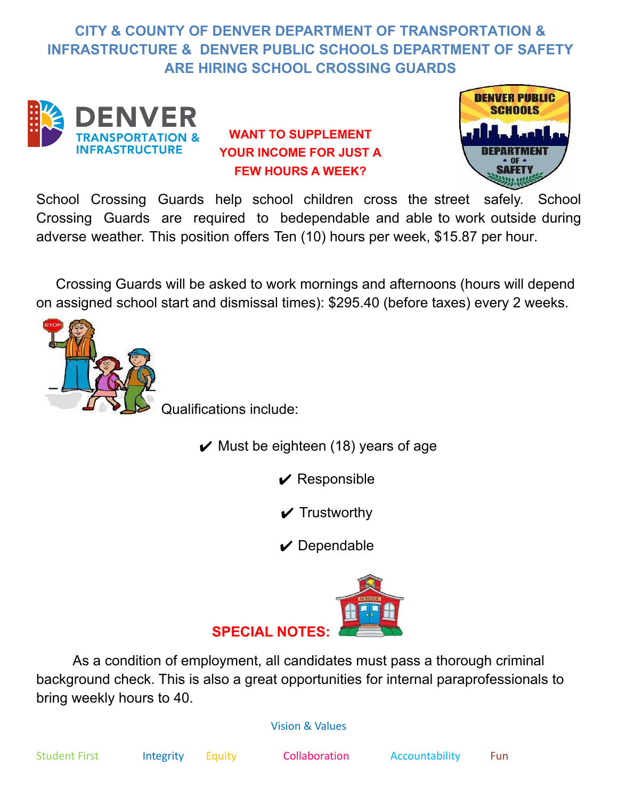## **CITY & COUNTY OF DENVER DEPARTMENT OF TRANSPORTATION & INFRASTRUCTURE & DENVER PUBLIC SCHOOLS DEPARTMENT OF SAFETY ARE HIRING SCHOOL CROSSING GUARDS**



## **WANT TO SUPPLEMENT YOUR INCOME FOR JUST A FEW HOURS A WEEK?**



School Crossing Guards help school children cross the street safely. School Crossing Guards are required to bedependable and able to work outside during adverse weather. This position offers Ten (10) hours per week, \$15.87 per hour.

Crossing Guards will be asked to work mornings and afternoons (hours will depend on assigned school start and dismissal times): \$295.40 (before taxes) every 2 weeks.



Qualifications include:

- $\vee$  Must be eighteen (18) years of age
	- $\vee$  Responsible
	- $\boldsymbol{\nu}$  Trustworthy

 $\vee$  Dependable



As a condition of employment, all candidates must pass a thorough criminal background check. This is also a great opportunities for internal paraprofessionals to bring weekly hours to 40.

## Vision & Values